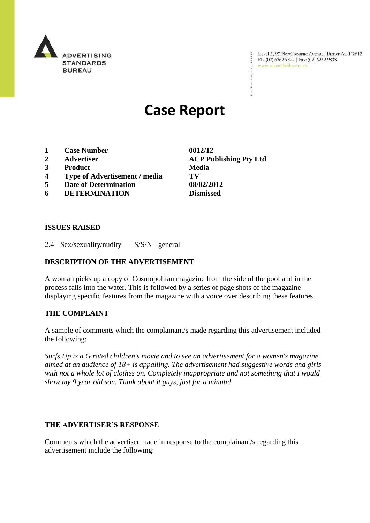

Level 2, 97 Northbourne Avenue, Turner ACT 2612<br>Ph: (02) 6262 9822 | Fax: (02) 6262 9833<br>www.adstandards.com.au

# **Case Report**

- **1 Case Number 0012/12**
- 
- **3 Product Media**
- **4 Type of Advertisement / media TV**
- **5 Date of Determination 08/02/2012**
- **6 DETERMINATION Dismissed**

**2 Advertiser ACP Publishing Pty Ltd**

÷

## **ISSUES RAISED**

2.4 - Sex/sexuality/nudity S/S/N - general

## **DESCRIPTION OF THE ADVERTISEMENT**

A woman picks up a copy of Cosmopolitan magazine from the side of the pool and in the process falls into the water. This is followed by a series of page shots of the magazine displaying specific features from the magazine with a voice over describing these features.

#### **THE COMPLAINT**

A sample of comments which the complainant/s made regarding this advertisement included the following:

*Surfs Up is a G rated children's movie and to see an advertisement for a women's magazine aimed at an audience of 18+ is appalling. The advertisement had suggestive words and girls with not a whole lot of clothes on. Completely inappropriate and not something that I would show my 9 year old son. Think about it guys, just for a minute!*

#### **THE ADVERTISER'S RESPONSE**

Comments which the advertiser made in response to the complainant/s regarding this advertisement include the following: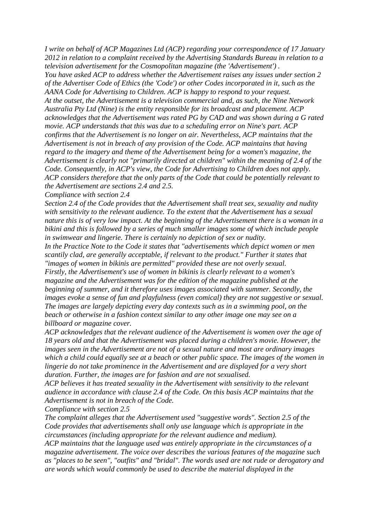*I write on behalf of ACP Magazines Ltd (ACP) regarding your correspondence of 17 January 2012 in relation to a complaint received by the Advertising Standards Bureau in relation to a television advertisement for the Cosmopolitan magazine (the 'Advertisement') . You have asked ACP to address whether the Advertisement raises any issues under section 2 of the Advertiser Code of Ethics (the 'Code') or other Codes incorporated in it, such as the AANA Code for Advertising to Children. ACP is happy to respond to your request. At the outset, the Advertisement is a television commercial and, as such, the Nine Network Australia Pty Ltd (Nine) is the entity responsible for its broadcast and placement. ACP acknowledges that the Advertisement was rated PG by CAD and was shown during a G rated movie. ACP understands that this was due to a scheduling error on Nine's part. ACP confirms that the Advertisement is no longer on air. Nevertheless, ACP maintains that the Advertisement is not in breach of any provision of the Code. ACP maintains that having regard to the imagery and theme of the Advertisement being for a women's magazine, the Advertisement is clearly not "primarily directed at children" within the meaning of 2.4 of the Code. Consequently, in ACP's view, the Code for Advertising to Children does not apply. ACP considers therefore that the only parts of the Code that could be potentially relevant to the Advertisement are sections 2.4 and 2.5.*

*Compliance with section 2.4*

*Section 2.4 of the Code provides that the Advertisement shall treat sex, sexuality and nudity with sensitivity to the relevant audience. To the extent that the Advertisement has a sexual nature this is of very low impact. At the beginning of the Advertisement there is a woman in a bikini and this is followed by a series of much smaller images some of which include people in swimwear and lingerie. There is certainly no depiction of sex or nudity.*

*In the Practice Note to the Code it states that "advertisements which depict women or men scantily clad, are generally acceptable, if relevant to the product." Further it states that "images of women in bikinis are permitted" provided these are not overly sexual. Firstly, the Advertisement's use of women in bikinis is clearly relevant to a women's magazine and the Advertisement was for the edition of the magazine published at the beginning of summer, and it therefore uses images associated with summer. Secondly, the images evoke a sense of fun and playfulness (even comical) they are not suggestive or sexual. The images are largely depicting every day contexts such as in a swimming pool, on the beach or otherwise in a fashion context similar to any other image one may see on a billboard or magazine cover.*

*ACP acknowledges that the relevant audience of the Advertisement is women over the age of 18 years old and that the Advertisement was placed during a children's movie. However, the images seen in the Advertisement are not of a sexual nature and most are ordinary images which a child could equally see at a beach or other public space. The images of the women in lingerie do not take prominence in the Advertisement and are displayed for a very short duration. Further, the images are for fashion and are not sexualised.*

*ACP believes it has treated sexuality in the Advertisement with sensitivity to the relevant audience in accordance with clause 2.4 of the Code. On this basis ACP maintains that the Advertisement is not in breach of the Code.*

*Compliance with section 2.5*

*The complaint alleges that the Advertisement used "suggestive words". Section 2.5 of the Code provides that advertisements shall only use language which is appropriate in the circumstances (including appropriate for the relevant audience and medium).*

*ACP maintains that the language used was entirely appropriate in the circumstances of a magazine advertisement. The voice over describes the various features of the magazine such as "places to be seen", "outfits" and "bridal". The words used are not rude or derogatory and are words which would commonly be used to describe the material displayed in the*